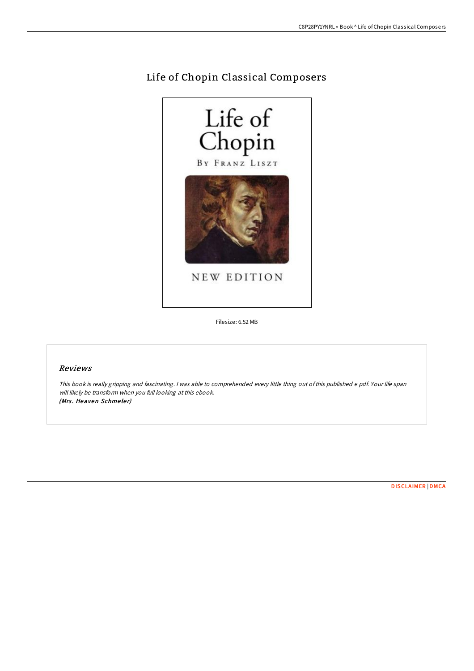# Life of Chopin Classical Composers



Filesize: 6.52 MB

## Reviews

This book is really gripping and fascinating. <sup>I</sup> was able to comprehended every little thing out ofthis published <sup>e</sup> pdf. Your life span will likely be transform when you full looking at this ebook. (Mrs. Heaven Schmeler)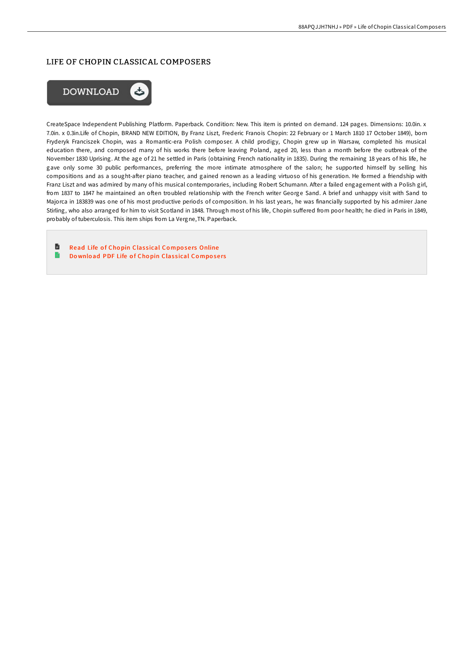### LIFE OF CHOPIN CLASSICAL COMPOSERS



CreateSpace Independent Publishing Platform. Paperback. Condition: New. This item is printed on demand. 124 pages. Dimensions: 10.0in. x 7.0in. x 0.3in.Life of Chopin, BRAND NEW EDITION, By Franz Liszt, Frederic Franois Chopin: 22 February or 1 March 1810 17 October 1849), born Fryderyk Franciszek Chopin, was a Romantic-era Polish composer. A child prodigy, Chopin grew up in Warsaw, completed his musical education there, and composed many of his works there before leaving Poland, aged 20, less than a month before the outbreak of the November 1830 Uprising. At the age of 21 he settled in Paris (obtaining French nationality in 1835). During the remaining 18 years of his life, he gave only some 30 public performances, preferring the more intimate atmosphere of the salon; he supported himself by selling his compositions and as a sought-after piano teacher, and gained renown as a leading virtuoso of his generation. He formed a friendship with Franz Liszt and was admired by many of his musical contemporaries, including Robert Schumann. After a failed engagement with a Polish girl, from 1837 to 1847 he maintained an often troubled relationship with the French writer George Sand. A brief and unhappy visit with Sand to Majorca in 183839 was one of his most productive periods of composition. In his last years, he was financially supported by his admirer Jane Stirling, who also arranged for him to visit Scotland in 1848. Through most of his life, Chopin suffered from poor health; he died in Paris in 1849, probably of tuberculosis. This item ships from La Vergne,TN. Paperback.

旨 Read Life of Chopin Classical Composers [Online](http://almighty24.tech/life-of-chopin-classical-composers.html)  $\blacksquare$ Do [wnlo](http://almighty24.tech/life-of-chopin-classical-composers.html)ad PDF Life of Chopin Classical Composers